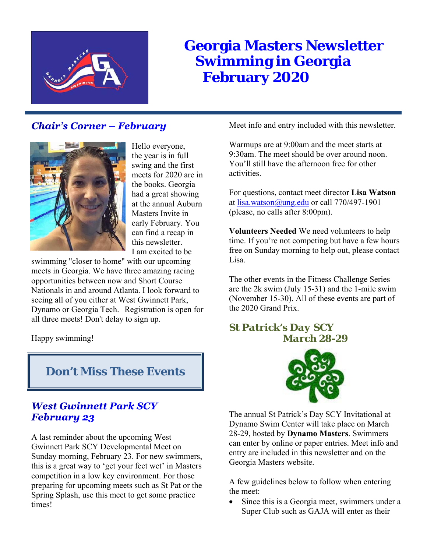

# **Georgia Masters Newsletter Swimming in Georgia February 2020**

# **Chair's Corner – February**



Hello everyone, the year is in full swing and the first meets for 2020 are in the books. Georgia had a great showing at the annual Auburn Masters Invite in early February. You can find a recap in this newsletter. I am excited to be

swimming "closer to home" with our upcoming meets in Georgia. We have three amazing racing opportunities between now and Short Course Nationals in and around Atlanta. I look forward to seeing all of you either at West Gwinnett Park, Dynamo or Georgia Tech. Registration is open for all three meets! Don't delay to sign up.

Happy swimming!

# **Don't Miss These Events**

# **West Gwinnett Park SCY** February 23

A last reminder about the upcoming West Gwinnett Park SCY Developmental Meet on Sunday morning, February 23. For new swimmers, this is a great way to 'get your feet wet' in Masters competition in a low key environment. For those preparing for upcoming meets such as St Pat or the Spring Splash, use this meet to get some practice times!

Meet info and entry included with this newsletter.

Warmups are at 9:00am and the meet starts at 9:30am. The meet should be over around noon. You'll still have the afternoon free for other activities.

For questions, contact meet director **Lisa Watson** at lisa.watson@ung.edu or call 770/497-1901 (please, no calls after 8:00pm).

**Volunteers Needed** We need volunteers to help time. If you're not competing but have a few hours free on Sunday morning to help out, please contact Lisa.

The other events in the Fitness Challenge Series are the 2k swim (July 15-31) and the 1-mile swim (November 15-30). All of these events are part of the 2020 Grand Prix.

# *St Patrick's Day SCY March 28-29*



The annual St Patrick's Day SCY Invitational at Dynamo Swim Center will take place on March 28-29, hosted by **Dynamo Masters**. Swimmers can enter by online or paper entries. Meet info and entry are included in this newsletter and on the Georgia Masters website.

A few guidelines below to follow when entering the meet:

 Since this is a Georgia meet, swimmers under a Super Club such as GAJA will enter as their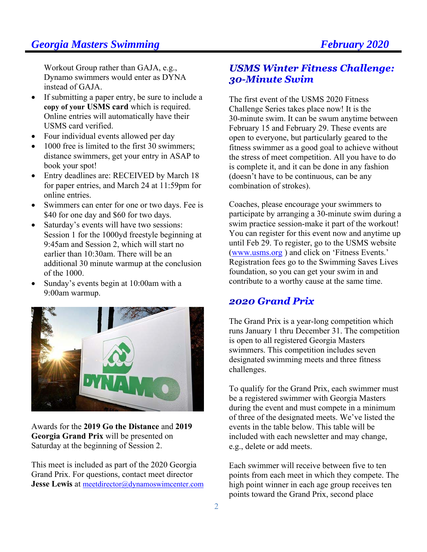Workout Group rather than GAJA, e.g., Dynamo swimmers would enter as DYNA instead of GAJA.

- If submitting a paper entry, be sure to include a **copy of your USMS card** which is required. Online entries will automatically have their USMS card verified.
- Four individual events allowed per day
- 1000 free is limited to the first 30 swimmers: distance swimmers, get your entry in ASAP to book your spot!
- Entry deadlines are: RECEIVED by March 18 for paper entries, and March 24 at 11:59pm for online entries.
- Swimmers can enter for one or two days. Fee is \$40 for one day and \$60 for two days.
- Saturday's events will have two sessions: Session 1 for the 1000yd freestyle beginning at 9:45am and Session 2, which will start no earlier than 10:30am. There will be an additional 30 minute warmup at the conclusion of the 1000.
- Sunday's events begin at 10:00am with a 9:00am warmup.



Awards for the **2019 Go the Distance** and **2019 Georgia Grand Prix** will be presented on Saturday at the beginning of Session 2.

This meet is included as part of the 2020 Georgia Grand Prix. For questions, contact meet director **Jesse Lewis** at meetdirector@dynamoswimcenter.com

# **USMS Winter Fitness Challenge: 30-Minute Swim**

The first event of the USMS 2020 Fitness Challenge Series takes place now! It is the 30-minute swim. It can be swum anytime between February 15 and February 29. These events are open to everyone, but particularly geared to the fitness swimmer as a good goal to achieve without the stress of meet competition. All you have to do is complete it, and it can be done in any fashion (doesn't have to be continuous, can be any combination of strokes).

Coaches, please encourage your swimmers to participate by arranging a 30-minute swim during a swim practice session-make it part of the workout! You can register for this event now and anytime up until Feb 29. To register, go to the USMS website (www.usms.org ) and click on 'Fitness Events.' Registration fees go to the Swimming Saves Lives foundation, so you can get your swim in and contribute to a worthy cause at the same time.

### 2020 Grand Prix

The Grand Prix is a year-long competition which runs January 1 thru December 31. The competition is open to all registered Georgia Masters swimmers. This competition includes seven designated swimming meets and three fitness challenges.

To qualify for the Grand Prix, each swimmer must be a registered swimmer with Georgia Masters during the event and must compete in a minimum of three of the designated meets. We've listed the events in the table below. This table will be included with each newsletter and may change, e.g., delete or add meets.

Each swimmer will receive between five to ten points from each meet in which they compete. The high point winner in each age group receives ten points toward the Grand Prix, second place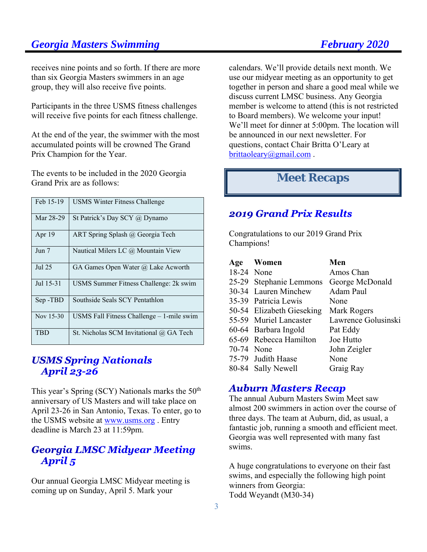receives nine points and so forth. If there are more than six Georgia Masters swimmers in an age group, they will also receive five points.

Participants in the three USMS fitness challenges will receive five points for each fitness challenge.

At the end of the year, the swimmer with the most accumulated points will be crowned The Grand Prix Champion for the Year.

The events to be included in the 2020 Georgia Grand Prix are as follows:

| Feb 15-19 | <b>USMS Winter Fitness Challenge</b>        |
|-----------|---------------------------------------------|
| Mar 28-29 | St Patrick's Day SCY $(a)$ Dynamo           |
| Apr $19$  | ART Spring Splash @ Georgia Tech            |
| Jun 7     | Nautical Milers LC @ Mountain View          |
| Jul 25    | GA Games Open Water @ Lake Acworth          |
| Jul 15-31 | USMS Summer Fitness Challenge: 2k swim      |
| Sep-TBD   | Southside Seals SCY Pentathlon              |
| Nov 15-30 | USMS Fall Fitness Challenge $-1$ -mile swim |
| TBD       | St. Nicholas SCM Invitational @ GA Tech     |

# **USMS Spring Nationals April 23-26**

This year's Spring (SCY) Nationals marks the  $50<sup>th</sup>$ anniversary of US Masters and will take place on April 23-26 in San Antonio, Texas. To enter, go to the USMS website at www.usms.org . Entry deadline is March 23 at 11:59pm.

# **Georgia LMSC Midyear Meeting** April<sub>5</sub>

Our annual Georgia LMSC Midyear meeting is coming up on Sunday, April 5. Mark your

calendars. We'll provide details next month. We use our midyear meeting as an opportunity to get together in person and share a good meal while we discuss current LMSC business. Any Georgia member is welcome to attend (this is not restricted to Board members). We welcome your input! We'll meet for dinner at 5:00pm. The location will be announced in our next newsletter. For questions, contact Chair Britta O'Leary at brittaoleary@gmail.com .

# **Meet Recaps**

# 2019 Grand Prix Results

Congratulations to our 2019 Grand Prix Champions!

|            | Age Women                 | Men                 |
|------------|---------------------------|---------------------|
| 18-24 None |                           | Amos Chan           |
|            | 25-29 Stephanie Lemmons   | George McDonald     |
|            | 30-34 Lauren Minchew      | Adam Paul           |
|            | 35-39 Patricia Lewis      | None                |
|            | 50-54 Elizabeth Gieseking | Mark Rogers         |
|            | 55-59 Muriel Lancaster    | Lawrence Golusinski |
|            | 60-64 Barbara Ingold      | Pat Eddy            |
|            | 65-69 Rebecca Hamilton    | Joe Hutto           |
| 70-74 None |                           | John Zeigler        |
|            | 75-79 Judith Haase        | None                |
|            | 80-84 Sally Newell        | Graig Ray           |

#### **Auburn Masters Recap**

The annual Auburn Masters Swim Meet saw almost 200 swimmers in action over the course of three days. The team at Auburn, did, as usual, a fantastic job, running a smooth and efficient meet. Georgia was well represented with many fast swims.

A huge congratulations to everyone on their fast swims, and especially the following high point winners from Georgia: Todd Weyandt (M30-34)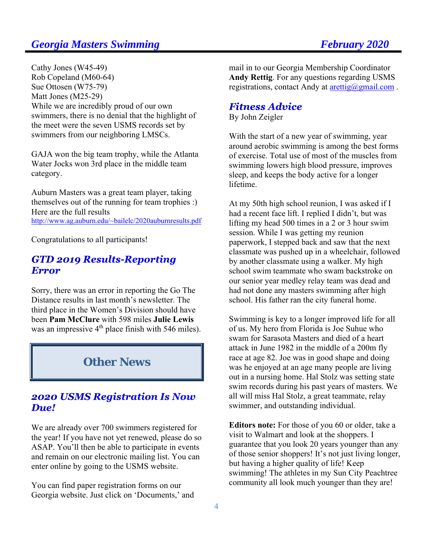Cathy Jones (W45-49) Rob Copeland (M60-64) Sue Ottosen (W75-79) Matt Jones (M25-29) While we are incredibly proud of our own swimmers, there is no denial that the highlight of the meet were the seven USMS records set by swimmers from our neighboring LMSCs.

GAJA won the big team trophy, while the Atlanta Water Jocks won 3rd place in the middle team category.

Auburn Masters was a great team player, taking themselves out of the running for team trophies :) Here are the full results http://www.ag.auburn.edu/~bailelc/2020auburnresults.pdf

Congratulations to all participants!

### **GTD 2019 Results-Reporting Error**

Sorry, there was an error in reporting the Go The Distance results in last month's newsletter. The third place in the Women's Division should have been **Pam McClure** with 598 miles **Julie Lewis** was an impressive  $4<sup>th</sup>$  place finish with 546 miles).

# **Other News**

# **2020 USMS Registration Is Now** Due!

We are already over 700 swimmers registered for the year! If you have not yet renewed, please do so ASAP. You'll then be able to participate in events and remain on our electronic mailing list. You can enter online by going to the USMS website.

You can find paper registration forms on our Georgia website. Just click on 'Documents,' and mail in to our Georgia Membership Coordinator **Andy Rettig**. For any questions regarding USMS registrations, contact Andy at  $\arct{trig(a)g}$  mail.com.

### **Fitness Advice**

By John Zeigler

With the start of a new year of swimming, year around aerobic swimming is among the best forms of exercise. Total use of most of the muscles from swimming lowers high blood pressure, improves sleep, and keeps the body active for a longer lifetime.

At my 50th high school reunion, I was asked if I had a recent face lift. I replied I didn't, but was lifting my head 500 times in a 2 or 3 hour swim session. While I was getting my reunion paperwork, I stepped back and saw that the next classmate was pushed up in a wheelchair, followed by another classmate using a walker. My high school swim teammate who swam backstroke on our senior year medley relay team was dead and had not done any masters swimming after high school. His father ran the city funeral home.

Swimming is key to a longer improved life for all of us. My hero from Florida is Joe Suhue who swam for Sarasota Masters and died of a heart attack in June 1982 in the middle of a 200m fly race at age 82. Joe was in good shape and doing was he enjoyed at an age many people are living out in a nursing home. Hal Stolz was setting state swim records during his past years of masters. We all will miss Hal Stolz, a great teammate, relay swimmer, and outstanding individual.

**Editors note:** For those of you 60 or older, take a visit to Walmart and look at the shoppers. I guarantee that you look 20 years younger than any of those senior shoppers! It's not just living longer, but having a higher quality of life! Keep swimming! The athletes in my Sun City Peachtree community all look much younger than they are!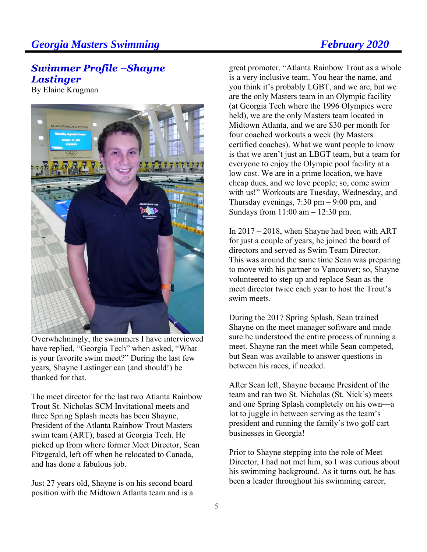# **Swimmer Profile - Shayne Lastinger**

By Elaine Krugman



Overwhelmingly, the swimmers I have interviewed have replied, "Georgia Tech" when asked, "What is your favorite swim meet?" During the last few years, Shayne Lastinger can (and should!) be thanked for that.

The meet director for the last two Atlanta Rainbow Trout St. Nicholas SCM Invitational meets and three Spring Splash meets has been Shayne, President of the Atlanta Rainbow Trout Masters swim team (ART), based at Georgia Tech. He picked up from where former Meet Director, Sean Fitzgerald, left off when he relocated to Canada, and has done a fabulous job.

Just 27 years old, Shayne is on his second board position with the Midtown Atlanta team and is a great promoter. "Atlanta Rainbow Trout as a whole is a very inclusive team. You hear the name, and you think it's probably LGBT, and we are, but we are the only Masters team in an Olympic facility (at Georgia Tech where the 1996 Olympics were held), we are the only Masters team located in Midtown Atlanta, and we are \$30 per month for four coached workouts a week (by Masters certified coaches). What we want people to know is that we aren't just an LBGT team, but a team for everyone to enjoy the Olympic pool facility at a low cost. We are in a prime location, we have cheap dues, and we love people; so, come swim with us!" Workouts are Tuesday, Wednesday, and Thursday evenings,  $7:30 \text{ pm} - 9:00 \text{ pm}$ , and Sundays from 11:00 am – 12:30 pm.

In 2017 – 2018, when Shayne had been with ART for just a couple of years, he joined the board of directors and served as Swim Team Director. This was around the same time Sean was preparing to move with his partner to Vancouver; so, Shayne volunteered to step up and replace Sean as the meet director twice each year to host the Trout's swim meets.

During the 2017 Spring Splash, Sean trained Shayne on the meet manager software and made sure he understood the entire process of running a meet. Shayne ran the meet while Sean competed, but Sean was available to answer questions in between his races, if needed.

After Sean left, Shayne became President of the team and ran two St. Nicholas (St. Nick's) meets and one Spring Splash completely on his own—a lot to juggle in between serving as the team's president and running the family's two golf cart businesses in Georgia!

Prior to Shayne stepping into the role of Meet Director, I had not met him, so I was curious about his swimming background. As it turns out, he has been a leader throughout his swimming career,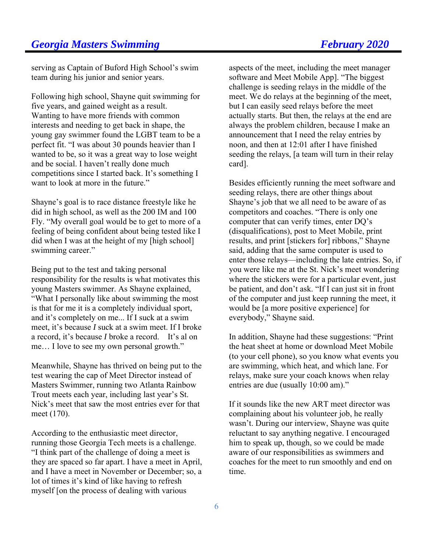serving as Captain of Buford High School's swim team during his junior and senior years.

Following high school, Shayne quit swimming for five years, and gained weight as a result. Wanting to have more friends with common interests and needing to get back in shape, the young gay swimmer found the LGBT team to be a perfect fit. "I was about 30 pounds heavier than I wanted to be, so it was a great way to lose weight and be social. I haven't really done much competitions since I started back. It's something I want to look at more in the future."

Shayne's goal is to race distance freestyle like he did in high school, as well as the 200 IM and 100 Fly. "My overall goal would be to get to more of a feeling of being confident about being tested like I did when I was at the height of my [high school] swimming career."

Being put to the test and taking personal responsibility for the results is what motivates this young Masters swimmer. As Shayne explained, "What I personally like about swimming the most is that for me it is a completely individual sport, and it's completely on me... If I suck at a swim meet, it's because *I* suck at a swim meet. If I broke a record, it's because *I* broke a record. It's al on me… I love to see my own personal growth."

Meanwhile, Shayne has thrived on being put to the test wearing the cap of Meet Director instead of Masters Swimmer, running two Atlanta Rainbow Trout meets each year, including last year's St. Nick's meet that saw the most entries ever for that meet (170).

According to the enthusiastic meet director, running those Georgia Tech meets is a challenge. "I think part of the challenge of doing a meet is they are spaced so far apart. I have a meet in April, and I have a meet in November or December; so, a lot of times it's kind of like having to refresh myself [on the process of dealing with various

aspects of the meet, including the meet manager software and Meet Mobile App]. "The biggest challenge is seeding relays in the middle of the meet. We do relays at the beginning of the meet, but I can easily seed relays before the meet actually starts. But then, the relays at the end are always the problem children, because I make an announcement that I need the relay entries by noon, and then at 12:01 after I have finished seeding the relays, [a team will turn in their relay card].

Besides efficiently running the meet software and seeding relays, there are other things about Shayne's job that we all need to be aware of as competitors and coaches. "There is only one computer that can verify times, enter DQ's (disqualifications), post to Meet Mobile, print results, and print [stickers for] ribbons," Shayne said, adding that the same computer is used to enter those relays—including the late entries. So, if you were like me at the St. Nick's meet wondering where the stickers were for a particular event, just be patient, and don't ask. "If I can just sit in front of the computer and just keep running the meet, it would be [a more positive experience] for everybody," Shayne said.

In addition, Shayne had these suggestions: "Print the heat sheet at home or download Meet Mobile (to your cell phone), so you know what events you are swimming, which heat, and which lane. For relays, make sure your coach knows when relay entries are due (usually 10:00 am)."

If it sounds like the new ART meet director was complaining about his volunteer job, he really wasn't. During our interview, Shayne was quite reluctant to say anything negative. I encouraged him to speak up, though, so we could be made aware of our responsibilities as swimmers and coaches for the meet to run smoothly and end on time.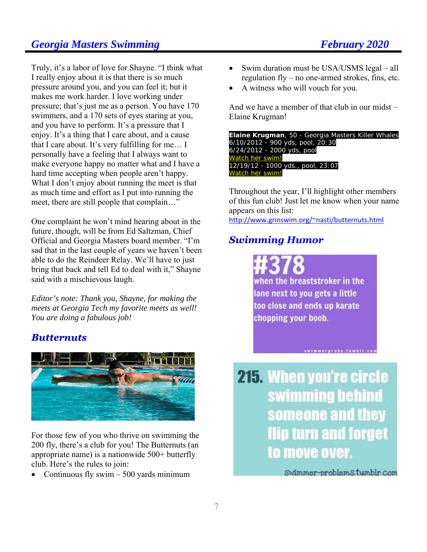Truly, it's a labor of love for Shayne. "I think what I really enjoy about it is that there is so much pressure around you, and you can feel it; but it makes me work harder. I love working under pressure; that's just me as a person. You have 170 swimmers, and a 170 sets of eyes staring at you, and you have to perform. It's a pressure that I enjoy. It's a thing that I care about, and a cause that I care about. It's very fulfilling for me… I personally have a feeling that I always want to make everyone happy no matter what and I have a hard time accepting when people aren't happy. What I don't enjoy about running the meet is that as much time and effort as I put into running the meet, there are still people that complain…"

One complaint he won't mind hearing about in the future, though, will be from Ed Saltzman, Chief Official and Georgia Masters board member. "I'm sad that in the last couple of years we haven't been able to do the Reindeer Relay. We'll have to just bring that back and tell Ed to deal with it," Shayne said with a mischievous laugh.

*Editor's note: Thank you, Shayne, for making the meets at Georgia Tech my favorite meets as well! You are doing a fabulous job!* 

#### **Butternuts**



For those few of you who thrive on swimming the 200 fly, there's a club for you! The Butternuts (an appropriate name) is a nationwide 500+ butterfly club. Here's the rules to join:

• Continuous fly swim  $-500$  yards minimum

- Swim duration must be USA/USMS legal all regulation fly – no one-armed strokes, fins, etc.
- A witness who will vouch for you.

And we have a member of that club in our midst – Elaine Krugman!

**Elaine Krugman**, 50 - Georgia Masters Killer Whales 6/10/2012 - 900 yds, pool, 20:30 6/24/2012 - 2000 yds, pool Watch her swim! 12/19/12 - 1000 yds., pool, 23:07 Watch her swim!

Throughout the year, I'll highlight other members of this fun club! Just let me know when your name appears on this list: http://www.grinswim.org/~nasti/butternuts.html

# **Swimming Humor**

when the breaststroker in the lane next to you gets a little too close and ends up karate chopping your boob.

swimmerprobs.tumblr.com

**215. When you're circle** swimming behind someone and they flip turn and forget to move over.

Swimmer-problemS.tumblr.com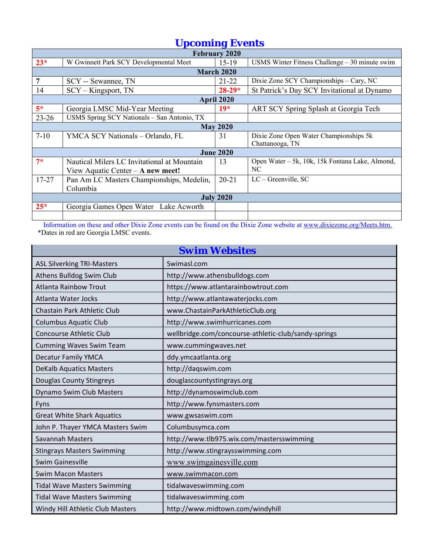| <b>Upcoming Events</b> |                                             |           |                                                 |  |  |
|------------------------|---------------------------------------------|-----------|-------------------------------------------------|--|--|
| February 2020          |                                             |           |                                                 |  |  |
| $23*$                  | W Gwinnett Park SCY Developmental Meet      | $15-19$   | USMS Winter Fitness Challenge $-30$ minute swim |  |  |
|                        | <b>March 2020</b>                           |           |                                                 |  |  |
| 7                      | SCY -- Sewannee, TN                         | $21 - 22$ | Dixie Zone SCY Championships - Cary, NC         |  |  |
| 14                     | $SCY - Kingsport, TN$                       | $28-29*$  | St Patrick's Day SCY Invitational at Dynamo     |  |  |
| April 2020             |                                             |           |                                                 |  |  |
| $5*$                   | Georgia LMSC Mid-Year Meeting               | $19*$     | ART SCY Spring Splash at Georgia Tech           |  |  |
| $23 - 26$              | USMS Spring SCY Nationals - San Antonio, TX |           |                                                 |  |  |
| <b>May 2020</b>        |                                             |           |                                                 |  |  |
| $7 - 10$               | YMCA SCY Nationals - Orlando, FL            | 31        | Dixie Zone Open Water Championships 5k          |  |  |
|                        |                                             |           | Chattanooga, TN                                 |  |  |
| <b>June 2020</b>       |                                             |           |                                                 |  |  |
| $7*$                   | Nautical Milers LC Invitational at Mountain | 13        | Open Water – 5k, 10k, 15k Fontana Lake, Almond, |  |  |
|                        | View Aquatic Center $-A$ new meet!          |           | NC.                                             |  |  |
| $17 - 27$              | Pan Am LC Masters Championships, Medelin,   | $20 - 21$ | $LC -$ Greenville, SC                           |  |  |
|                        | Columbia                                    |           |                                                 |  |  |
| <b>July 2020</b>       |                                             |           |                                                 |  |  |
| $25*$                  | Georgia Games Open Water Lake Acworth       |           |                                                 |  |  |
|                        |                                             |           |                                                 |  |  |

 Information on these and other Dixie Zone events can be found on the Dixie Zone website at www.dixiezone.org/Meets.htm. \*Dates in red are Georgia LMSC events.

| <b>Swim Websites</b>               |                                                      |  |  |
|------------------------------------|------------------------------------------------------|--|--|
| <b>ASL Silverking TRI-Masters</b>  | Swimasl.com                                          |  |  |
| Athens Bulldog Swim Club           | http://www.athensbulldogs.com                        |  |  |
| <b>Atlanta Rainbow Trout</b>       | https://www.atlantarainbowtrout.com                  |  |  |
| Atlanta Water Jocks                | http://www.atlantawaterjocks.com                     |  |  |
| Chastain Park Athletic Club        | www.ChastainParkAthleticClub.org                     |  |  |
| <b>Columbus Aquatic Club</b>       | http://www.swimhurricanes.com                        |  |  |
| <b>Concourse Athletic Club</b>     | wellbridge.com/concourse-athletic-club/sandy-springs |  |  |
| <b>Cumming Waves Swim Team</b>     | www.cummingwaves.net                                 |  |  |
| <b>Decatur Family YMCA</b>         | ddy.ymcaatlanta.org                                  |  |  |
| <b>DeKalb Aquatics Masters</b>     | http://daqswim.com                                   |  |  |
| Douglas County Stingreys           | douglascountystingrays.org                           |  |  |
| Dynamo Swim Club Masters           | http://dynamoswimclub.com                            |  |  |
| Fyns                               | http://www.fynsmasters.com                           |  |  |
| <b>Great White Shark Aquatics</b>  | www.gwsaswim.com                                     |  |  |
| John P. Thayer YMCA Masters Swim   | Columbusymca.com                                     |  |  |
| <b>Savannah Masters</b>            | http://www.tlb975.wix.com/mastersswimming            |  |  |
| <b>Stingrays Masters Swimming</b>  | http://www.stingraysswimming.com                     |  |  |
| <b>Swim Gainesville</b>            | www.swimgainesville.com                              |  |  |
| <b>Swim Macon Masters</b>          | www.swimmacon.com                                    |  |  |
| <b>Tidal Wave Masters Swimming</b> | tidalwaveswimming.com                                |  |  |
| <b>Tidal Wave Masters Swimming</b> | tidalwaveswimming.com                                |  |  |
| Windy Hill Athletic Club Masters   | http://www.midtown.com/windyhill                     |  |  |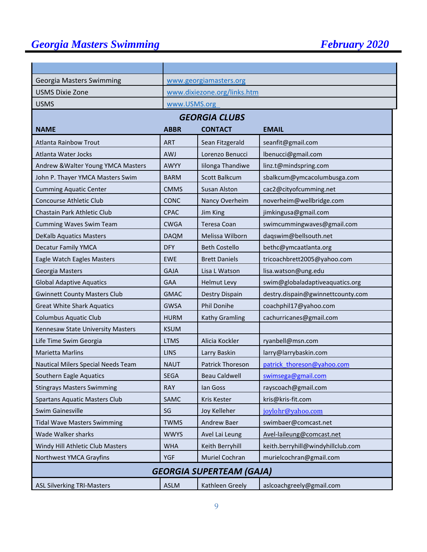| Georgia Masters Swimming             | www.georgiamasters.org      |                         |                                   |  |
|--------------------------------------|-----------------------------|-------------------------|-----------------------------------|--|
| <b>USMS Dixie Zone</b>               | www.dixiezone.org/links.htm |                         |                                   |  |
| <b>USMS</b>                          | www.USMS.org                |                         |                                   |  |
|                                      |                             | <b>GEORGIA CLUBS</b>    |                                   |  |
| <b>NAME</b>                          | <b>ABBR</b>                 | <b>CONTACT</b>          | <b>EMAIL</b>                      |  |
| <b>Atlanta Rainbow Trout</b>         | <b>ART</b>                  | Sean Fitzgerald         | seanfit@gmail.com                 |  |
| Atlanta Water Jocks                  | AWJ                         | Lorenzo Benucci         | lbenucci@gmail.com                |  |
| Andrew & Walter Young YMCA Masters   | <b>AWYY</b>                 | Iilonga Thandiwe        | linz.t@mindspring.com             |  |
| John P. Thayer YMCA Masters Swim     | <b>BARM</b>                 | Scott Balkcum           | sbalkcum@ymcacolumbusga.com       |  |
| <b>Cumming Aquatic Center</b>        | <b>CMMS</b>                 | <b>Susan Alston</b>     | cac2@cityofcumming.net            |  |
| Concourse Athletic Club              | <b>CONC</b>                 | Nancy Overheim          | noverheim@wellbridge.com          |  |
| Chastain Park Athletic Club          | <b>CPAC</b>                 | Jim King                | jimkingusa@gmail.com              |  |
| <b>Cumming Waves Swim Team</b>       | <b>CWGA</b><br>Teresa Coan  |                         | swimcummingwaves@gmail.com        |  |
| <b>DeKalb Aquatics Masters</b>       | <b>DAQM</b>                 | Melissa Wilborn         | daqswim@bellsouth.net             |  |
| <b>Decatur Family YMCA</b>           | <b>DFY</b>                  | <b>Beth Costello</b>    | bethc@ymcaatlanta.org             |  |
| Eagle Watch Eagles Masters           | <b>EWE</b>                  | <b>Brett Daniels</b>    | tricoachbrett2005@yahoo.com       |  |
| Georgia Masters                      | <b>GAJA</b>                 | Lisa L Watson           | lisa.watson@ung.edu               |  |
| <b>Global Adaptive Aquatics</b>      | <b>GAA</b>                  | <b>Helmut Levy</b>      | swim@globaladaptiveaquatics.org   |  |
| <b>Gwinnett County Masters Club</b>  | <b>GMAC</b>                 | Destry Dispain          | destry.dispain@gwinnettcounty.com |  |
| <b>Great White Shark Aquatics</b>    | <b>GWSA</b>                 | Phil Donihe             | coachphil17@yahoo.com             |  |
| <b>Columbus Aquatic Club</b>         | <b>HURM</b>                 | Kathy Gramling          | cachurricanes@gmail.com           |  |
| Kennesaw State University Masters    | <b>KSUM</b>                 |                         |                                   |  |
| Life Time Swim Georgia               | <b>LTMS</b>                 | Alicia Kockler          | ryanbell@msn.com                  |  |
| <b>Marietta Marlins</b>              | <b>LINS</b>                 | Larry Baskin            | larry@larrybaskin.com             |  |
| Nautical Milers Special Needs Team   | <b>NAUT</b>                 | <b>Patrick Thoreson</b> | patrick thoreson@yahoo.com        |  |
| Southern Eagle Aquatics              | <b>SEGA</b>                 | <b>Beau Caldwell</b>    | swimsega@gmail.com                |  |
| <b>Stingrays Masters Swimming</b>    | <b>RAY</b>                  | lan Goss                | rayscoach@gmail.com               |  |
| <b>Spartans Aquatic Masters Club</b> | SAMC                        | Kris Kester             | kris@kris-fit.com                 |  |
| Swim Gainesville                     | SG                          | Joy Kelleher            | joylohr@yahoo.com                 |  |
| <b>Tidal Wave Masters Swimming</b>   | <b>TWMS</b>                 | Andrew Baer             | swimbaer@comcast.net              |  |
| Wade Walker sharks                   | <b>WWYS</b>                 | Avel Lai Leung          | Avel-laileung@comcast.net         |  |
| Windy Hill Athletic Club Masters     | <b>WHA</b>                  | Keith Berryhill         | keith.berryhill@windyhillclub.com |  |
| Northwest YMCA Grayfins              | <b>YGF</b>                  | Muriel Cochran          | murielcochran@gmail.com           |  |
| <b>GEORGIA SUPERTEAM (GAJA)</b>      |                             |                         |                                   |  |
| <b>ASL Silverking TRI-Masters</b>    | <b>ASLM</b>                 | Kathleen Greely         | aslcoachgreely@gmail.com          |  |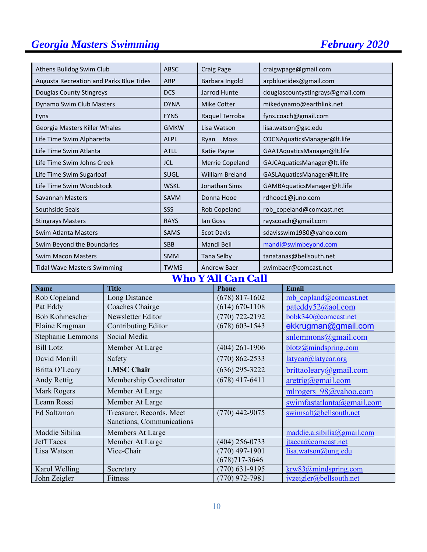| Athens Bulldog Swim Club                | <b>ABSC</b>           | <b>Craig Page</b>                                   | craigwpage@gmail.com                 |
|-----------------------------------------|-----------------------|-----------------------------------------------------|--------------------------------------|
| Augusta Recreation and Parks Blue Tides | <b>ARP</b>            | Barbara Ingold                                      | arpbluetides@gmail.com               |
| Douglas County Stingreys                | <b>DCS</b>            | Jarrod Hunte                                        | douglascountystingrays@gmail.com     |
| Dynamo Swim Club Masters                | <b>DYNA</b>           | <b>Mike Cotter</b>                                  | mikedynamo@earthlink.net             |
| Fyns                                    | <b>FYNS</b>           | Raquel Terroba                                      | fyns.coach@gmail.com                 |
| Georgia Masters Killer Whales           | <b>GMKW</b>           | Lisa Watson                                         | lisa.watson@gsc.edu                  |
| Life Time Swim Alpharetta               | <b>ALPL</b>           | Moss<br>Ryan                                        | COCNAquaticsManager@lt.life          |
| Life Time Swim Atlanta                  | <b>ATLL</b>           | Katie Payne                                         | GAATAquaticsManager@lt.life          |
| Life Time Swim Johns Creek              | <b>JCL</b>            | Merrie Copeland                                     | GAJCAquaticsManager@lt.life          |
| Life Time Swim Sugarloaf                | <b>SUGL</b>           | William Breland                                     | GASLAquaticsManager@lt.life          |
| Life Time Swim Woodstock                | <b>WSKL</b>           | Jonathan Sims                                       | GAMBAquaticsManager@lt.life          |
| Savannah Masters                        | <b>SAVM</b>           | Donna Hooe                                          | rdhooe1@juno.com                     |
| Southside Seals                         | SSS                   | Rob Copeland                                        | rob_copeland@comcast.net             |
| <b>Stingrays Masters</b>                | <b>RAYS</b>           | lan Goss                                            | rayscoach@gmail.com                  |
| <b>Swim Atlanta Masters</b>             | <b>SAMS</b>           | <b>Scot Davis</b>                                   | sdavisswim1980@yahoo.com             |
| Swim Beyond the Boundaries              | <b>SBB</b>            | Mandi Bell                                          | mandi@swimbeyond.com                 |
| <b>Swim Macon Masters</b>               | <b>SMM</b>            | Tana Selby                                          | tanatanas@bellsouth.net              |
| <b>Tidal Wave Masters Swimming</b>      | TWMS<br><b>W W 77</b> | <b>Andrew Baer</b><br>$\sim$<br><b><i>THAIR</i></b> | swimbaer@comcast.net<br>$\mathbf{r}$ |

*Who Y*=*All Can Call* 

| <b>Name</b>              | <b>Title</b>              | <b>Phone</b>       | Email                              |
|--------------------------|---------------------------|--------------------|------------------------------------|
| Rob Copeland             | Long Distance             | $(678)$ 817-1602   | rob copland@comcast.net            |
| Pat Eddy                 | Coaches Chairge           | $(614) 670 - 1108$ | pateddy52@aol.com                  |
| <b>Bob Kohmescher</b>    | Newsletter Editor         | $(770)$ 722-2192   | bobk340@comcast.net                |
| Elaine Krugman           | Contributing Editor       | $(678) 603 - 1543$ | ekkrugman@gmail.com                |
| <b>Stephanie Lemmons</b> | Social Media              |                    | snlemmons@gmail.com                |
| <b>Bill Lotz</b>         | Member At Large           | $(404)$ 261-1906   | blotz@mindspring.com               |
| David Morrill            | Safety                    | $(770) 862 - 2533$ | latycar@latycar.org                |
| Britta O'Leary           | <b>LMSC Chair</b>         | $(636)$ 295-3222   | brittaoleary@gmail.com             |
| Andy Rettig              | Membership Coordinator    | $(678)$ 417-6411   | $\arcti\frac{g}{\omega}$ gmail.com |
| Mark Rogers              | Member At Large           |                    | mlrogers 98@yahoo.com              |
| Leann Rossi              | Member At Large           |                    | swimfastatlanta@gmail.com          |
| Ed Saltzman              | Treasurer, Records, Meet  | $(770)$ 442-9075   | swimsalt@bellsouth.net             |
|                          | Sanctions, Communications |                    |                                    |
| Maddie Sibilia           | Members At Large          |                    | maddie.a.sibilia@gmail.com         |
| Jeff Tacca               | Member At Large           | (404) 256-0733     | $\text{itacca}(a)$ comcast.net     |
| Lisa Watson              | Vice-Chair                | $(770)$ 497-1901   | lisa.watson@ung.edu                |
|                          |                           | $(678)717 - 3646$  |                                    |
| Karol Welling            | Secretary                 | $(770)$ 631-9195   | krw83@mindspring.com               |
| John Zeigler             | Fitness                   | $(770)$ 972-7981   | ivzeigler@bellsouth.net            |